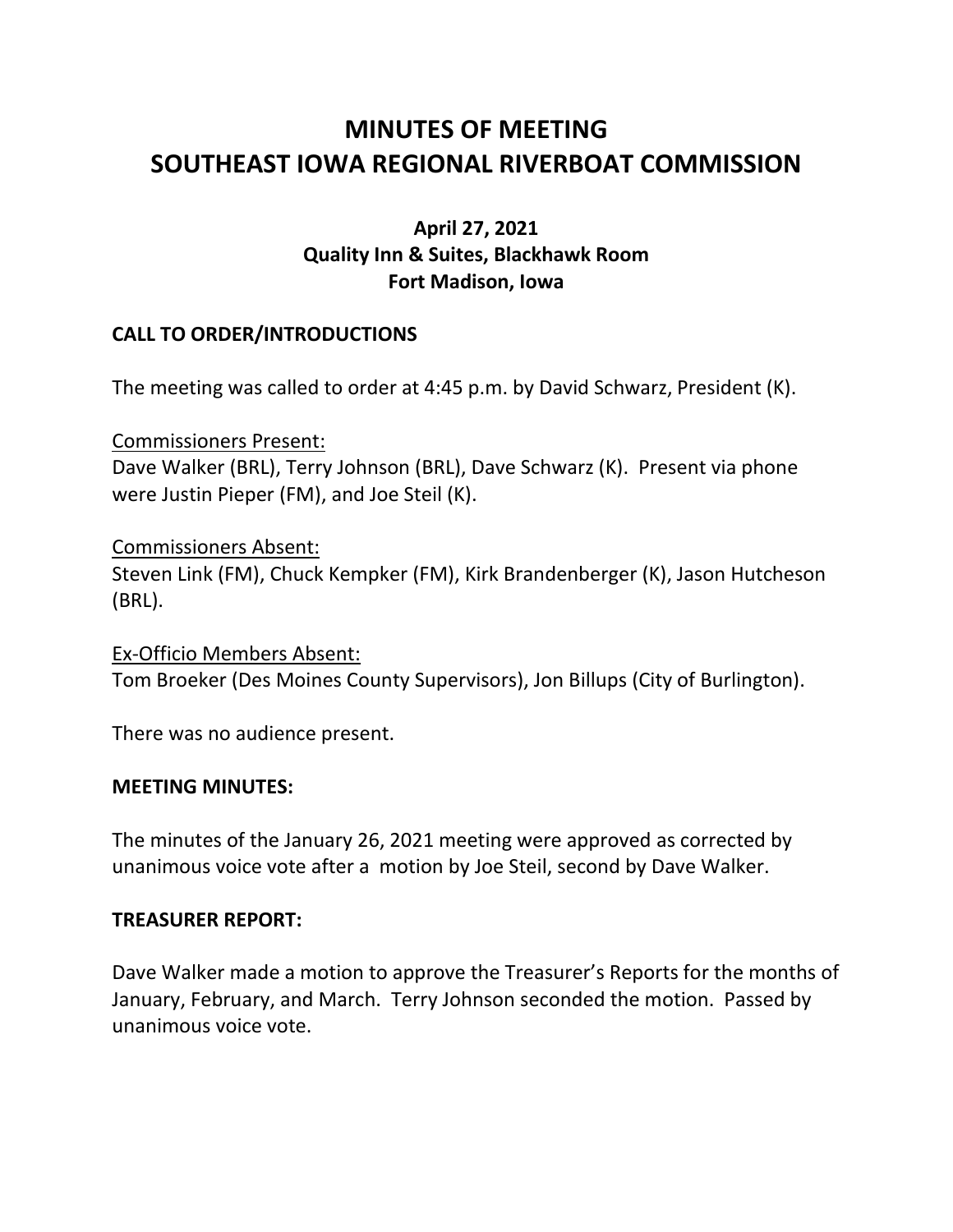# **MINUTES OF MEETING SOUTHEAST IOWA REGIONAL RIVERBOAT COMMISSION**

# **April 27, 2021 Quality Inn & Suites, Blackhawk Room Fort Madison, Iowa**

## **CALL TO ORDER/INTRODUCTIONS**

The meeting was called to order at 4:45 p.m. by David Schwarz, President (K).

Commissioners Present: Dave Walker (BRL), Terry Johnson (BRL), Dave Schwarz (K). Present via phone were Justin Pieper (FM), and Joe Steil (K).

#### Commissioners Absent:

Steven Link (FM), Chuck Kempker (FM), Kirk Brandenberger (K), Jason Hutcheson (BRL).

Ex-Officio Members Absent: Tom Broeker (Des Moines County Supervisors), Jon Billups (City of Burlington).

There was no audience present.

#### **MEETING MINUTES:**

The minutes of the January 26, 2021 meeting were approved as corrected by unanimous voice vote after a motion by Joe Steil, second by Dave Walker.

#### **TREASURER REPORT:**

Dave Walker made a motion to approve the Treasurer's Reports for the months of January, February, and March. Terry Johnson seconded the motion. Passed by unanimous voice vote.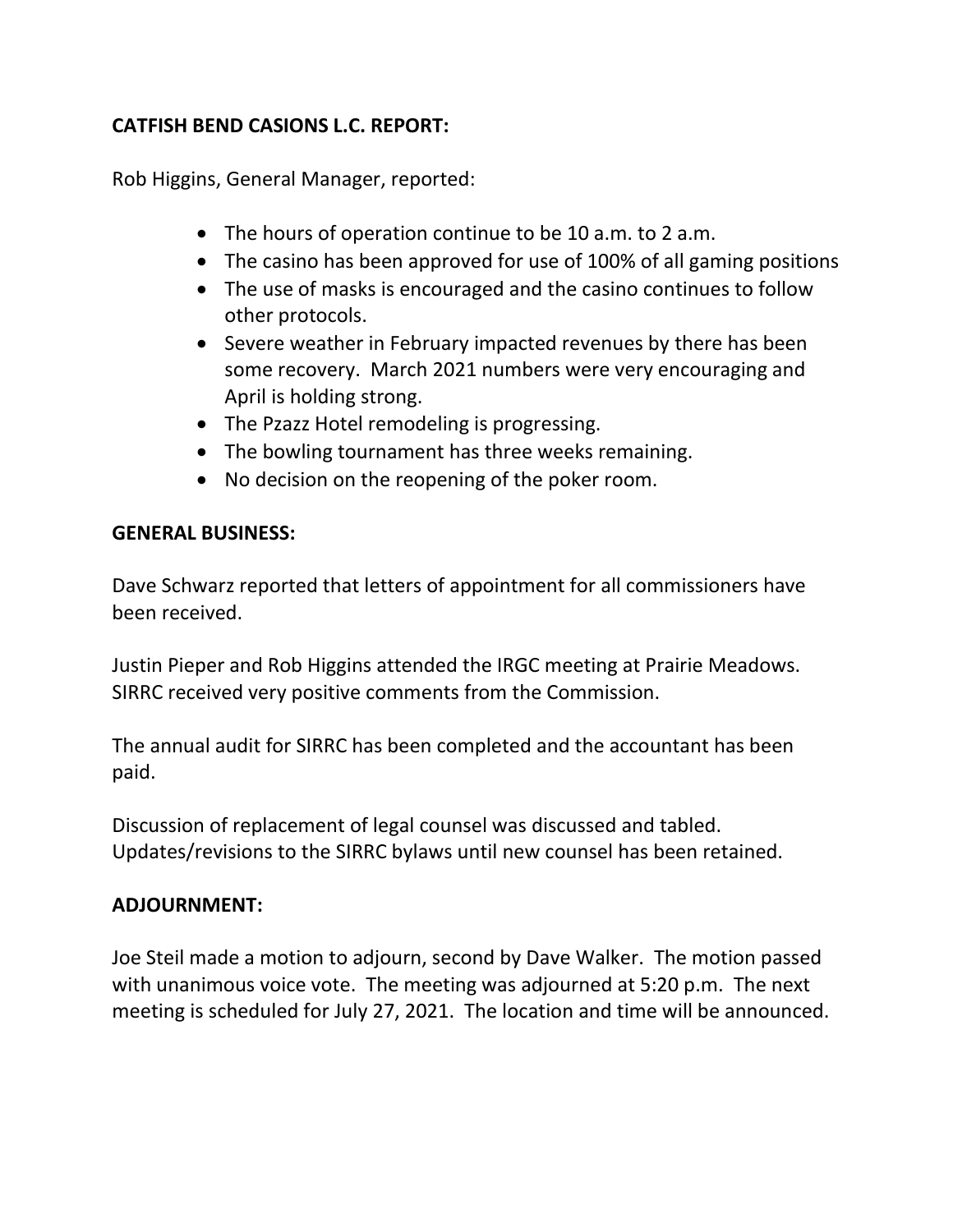# **CATFISH BEND CASIONS L.C. REPORT:**

Rob Higgins, General Manager, reported:

- The hours of operation continue to be 10 a.m. to 2 a.m.
- The casino has been approved for use of 100% of all gaming positions
- The use of masks is encouraged and the casino continues to follow other protocols.
- Severe weather in February impacted revenues by there has been some recovery. March 2021 numbers were very encouraging and April is holding strong.
- The Pzazz Hotel remodeling is progressing.
- The bowling tournament has three weeks remaining.
- No decision on the reopening of the poker room.

## **GENERAL BUSINESS:**

Dave Schwarz reported that letters of appointment for all commissioners have been received.

Justin Pieper and Rob Higgins attended the IRGC meeting at Prairie Meadows. SIRRC received very positive comments from the Commission.

The annual audit for SIRRC has been completed and the accountant has been paid.

Discussion of replacement of legal counsel was discussed and tabled. Updates/revisions to the SIRRC bylaws until new counsel has been retained.

## **ADJOURNMENT:**

Joe Steil made a motion to adjourn, second by Dave Walker. The motion passed with unanimous voice vote. The meeting was adjourned at 5:20 p.m. The next meeting is scheduled for July 27, 2021. The location and time will be announced.